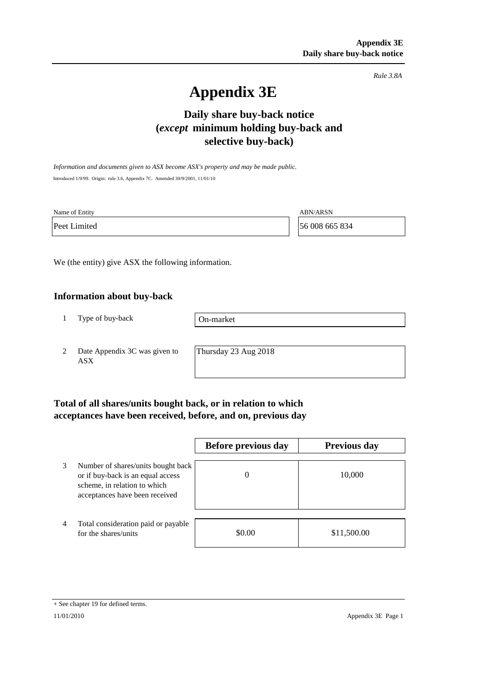*Rule 3.8A*

# **Appendix 3E**

## **selective buy-back) Daily share buy-back notice (***except* **minimum holding buy-back and**

*Information and documents given to ASX become ASX's property and may be made public.* Introduced 1/9/99. Origin: rule 3.6, Appendix 7C. Amended 30/9/2001, 11/01/10

| Name of Entity | <b>ABN/ARSN</b> |
|----------------|-----------------|
| Peet Limited   | 56 008 665 834  |

We (the entity) give ASX the following information.

#### **Information about buy-back**

1 Type of buy-back

On-market

2 Date Appendix 3C was given to ASX

Thursday 23 Aug 2018

### **Total of all shares/units bought back, or in relation to which acceptances have been received, before, and on, previous day**

|                |                                                                                                                                           | Before previous day | <b>Previous day</b> |  |  |
|----------------|-------------------------------------------------------------------------------------------------------------------------------------------|---------------------|---------------------|--|--|
| 3              | Number of shares/units bought back<br>or if buy-back is an equal access<br>scheme, in relation to which<br>acceptances have been received | 0                   | 10,000              |  |  |
| $\overline{4}$ | Total consideration paid or payable<br>for the shares/units                                                                               | \$0.00              | \$11,500.00         |  |  |

Appendix 3E Page 1

<sup>+</sup> See chapter 19 for defined terms.